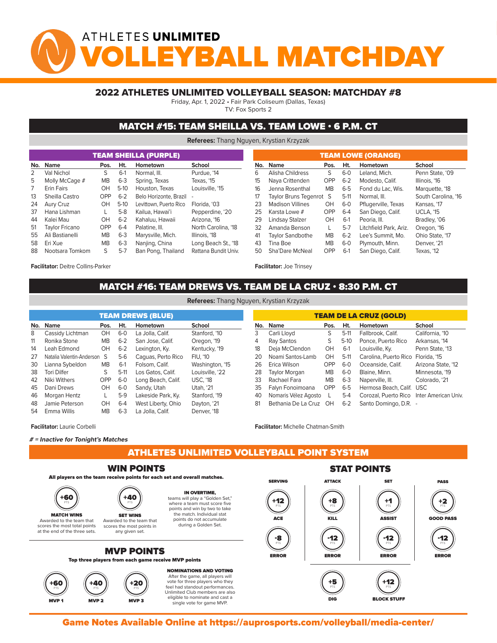# ATHLETES UNLIMITED YBALL MATCHDA

#### 2022 ATHLETES UNLIMITED VOLLEYBALL SEASON: MATCHDAY #8

Friday, Apr. 1, 2022 • Fair Park Coliseum (Dallas, Texas)

TV: Fox Sports 2

### MATCH #15: TEAM SHEILLA VS. TEAM LOWE • 6 P.M. CT

**Referees:** Thang Nguyen, Krystian Krzyzak

|     |                 |           |         | <b>TEAM SHEILLA (PURPLE)</b> |                      |     |                         | <b>TEAM LOWE (ORANGE)</b> |         |                        |                     |
|-----|-----------------|-----------|---------|------------------------------|----------------------|-----|-------------------------|---------------------------|---------|------------------------|---------------------|
| No. | Name            | Pos.      | Ht.     | Hometown                     | School               | No. | Name                    | Pos.                      | Ht.     | Hometown               | School              |
| 2   | Val Nichol      | S.        | $6-1$   | Normal, III.                 | Purdue, '14          | 6   | Alisha Childress        | S                         | $6 - 0$ | Leland, Mich.          | Penn State, '09     |
| 5   | Molly McCage #  | <b>MB</b> | $6 - 3$ | Spring, Texas                | Texas, '15           | 15  | Nava Crittenden         | <b>OPP</b>                | $6 - 2$ | Modesto, Calif.        | Illinois, '16       |
|     | Erin Fairs      | OH        | $5-10$  | Houston, Texas               | Louisville, '15      | 16  | Jenna Rosenthal         | <b>MB</b>                 | $6 - 5$ | Fond du Lac. Wis.      | Marquette, '18      |
| 13  | Sheilla Castro  | OPP       | $6 - 2$ | Belo Horizonte, Brazil -     |                      | 17  | Taylor Bruns Tegenrot S |                           | $5-11$  | Normal, III.           | South Carolina, '16 |
| 24  | Aury Cruz       | OH        | $5-10$  | Levittown, Puerto Rico       | Florida, '03         | 23  | <b>Madison Villines</b> | OH                        | $6-0$   | Pflugerville, Texas    | Kansas, '17         |
| 37  | Hana Lishman    |           | $5-8$   | Kailua, Hawai'i              | Pepperdine, '20      | 25  | Karsta Lowe #           | <b>OPP</b>                | $6 - 4$ | San Diego, Calif.      | <b>UCLA. '15</b>    |
| 44  | Kalei Mau       | OH        | $6 - 2$ | Kahaluu, Hawaii              | Arizona, '16         | 29  | Lindsay Stalzer         | OH                        | $6-1$   | Peoria, III.           | Bradley, '06        |
| 51  | Taylor Fricano  | OPP       | $6 - 4$ | Palatine, III.               | North Carolina, '18  | 32  | Amanda Benson           |                           | $5 - 7$ | Litchfield Park, Ariz. | Oregon, '16         |
| 55  | Ali Bastianelli | <b>MB</b> | $6 - 3$ | Marysville, Mich.            | Illinois, '18        | 41  | <b>Taylor Sandbothe</b> | <b>MB</b>                 | $6 - 2$ | Lee's Summit, Mo.      | Ohio State, '17     |
| 58  | Eri Xue         | <b>MB</b> | $6 - 3$ | Nanjing, China               | Long Beach St., '18  | 43  | Tina Boe                | <b>MB</b>                 | $6-0$   | Plymouth, Minn.        | Denver, '21         |
| 88  | Nootsara Tomkom | S.        | $5 - 7$ | Ban Pong, Thailand           | Rattana Bundit Univ. | 50  | Sha'Dare McNeal         | <b>OPP</b>                | $6-1$   | San Diego, Calif.      | Texas, '12          |
|     |                 |           |         |                              |                      |     |                         |                           |         |                        |                     |

**Facilitator:** Deitre Collins-Parker

**Facilitator:** Joe Trinsey

## MATCH #16: TEAM DREWS VS. TEAM DE LA CRUZ • 8:30 P.M. CT **Referees:** Thang Nguyen, Krystian Krzyzak

| <b>TEAM DREWS (BLUE)</b>             |                    |           |         |                    |                 |  |  |  |  |  |  |  |  |
|--------------------------------------|--------------------|-----------|---------|--------------------|-----------------|--|--|--|--|--|--|--|--|
| No.                                  | <b>Name</b>        | Pos.      | Ht.     | Hometown           | School          |  |  |  |  |  |  |  |  |
| 8                                    | Cassidy Lichtman   | OH        | $6-0$   | La Jolla, Calif.   | Stanford, '10   |  |  |  |  |  |  |  |  |
| 11                                   | Ronika Stone       | <b>MB</b> | $6-2$   | San Jose, Calif.   | Oregon, '19     |  |  |  |  |  |  |  |  |
| 14                                   | Leah Edmond        | OH        | $6 - 2$ | Lexington, Ky.     | Kentucky, '19   |  |  |  |  |  |  |  |  |
| 27<br>Natalia Valentin-Anderson<br>S |                    |           | $5-6$   | Caguas, Perto Rico | FIU. '10        |  |  |  |  |  |  |  |  |
| 30                                   | Lianna Sybeldon    | <b>MB</b> | $6-1$   | Folsom, Calif.     | Washington, '15 |  |  |  |  |  |  |  |  |
| 38                                   | <b>Tori Dilfer</b> | S         | $5-11$  | Los Gatos, Calif.  | Louisville, '22 |  |  |  |  |  |  |  |  |
| 42                                   | Niki Withers       | OPP       | $6-0$   | Long Beach, Calif. | <b>USC, '18</b> |  |  |  |  |  |  |  |  |
| 45                                   | Dani Drews         | OH        | $6-0$   | Sandy, Utah        | Utah, '21       |  |  |  |  |  |  |  |  |
| 46                                   | Morgan Hentz       | L         | $5-9$   | Lakeside Park, Ky. | Stanford, '19   |  |  |  |  |  |  |  |  |
| 48                                   | Jamie Peterson     | OH        | $6 - 4$ | West Liberty, Ohio | Dayton, '21     |  |  |  |  |  |  |  |  |
| 54                                   | Emma Willis        | <b>MB</b> | $6 - 3$ | La Jolla, Calif.   | Denver. '18     |  |  |  |  |  |  |  |  |

| <b>TEAM DE LA CRUZ (GOLD)</b> |                      |              |         |                                           |                    |  |  |  |  |  |  |  |
|-------------------------------|----------------------|--------------|---------|-------------------------------------------|--------------------|--|--|--|--|--|--|--|
| No.                           | Name                 | Pos.         | Ht.     | Hometown                                  | School             |  |  |  |  |  |  |  |
| 3                             | Carli Lloyd          | S            | $5-11$  | Fallbrook, Calif.                         | California, '10    |  |  |  |  |  |  |  |
| 4                             | Ray Santos           | S            | $5-10$  | Ponce, Puerto Rico                        | Arkansas, '14      |  |  |  |  |  |  |  |
| 18                            | Deja McClendon       | OH.          | $6-1$   | Louisville, Ky.                           | Penn State, '13    |  |  |  |  |  |  |  |
| 20                            | Noami Santos-Lamb    | OH           | $5-11$  | Carolina, Puerto Rico                     | Florida, '15       |  |  |  |  |  |  |  |
| 26                            | Erica Wilson         | OPP          | $6-0$   | Oceanside, Calif.                         | Arizona State, '12 |  |  |  |  |  |  |  |
| 28                            | Taylor Morgan        | <b>MB</b>    | $6-0$   | Blaine, Minn.                             | Minnesota, '19     |  |  |  |  |  |  |  |
| 33                            | Rachael Fara         | <b>MB</b>    | $6 - 3$ | Naperville, III.                          | Colorado, '21      |  |  |  |  |  |  |  |
| 35                            | Falyn Fonoimoana     | OPP          | $6 - 5$ | Hermosa Beach, Calif.                     | <b>USC</b>         |  |  |  |  |  |  |  |
| 40                            | Nomaris Vélez Agosto | $\mathbf{L}$ | $5 - 4$ | Corozal, Puerto Rico Inter American Univ. |                    |  |  |  |  |  |  |  |
| 81                            | Bethania De La Cruz  | ЮH           | $6 - 2$ | Santo Domingo, D.R. -                     |                    |  |  |  |  |  |  |  |

single vote for game MVP.

**Facilitator:** Laurie Corbelli

#### **# = Inactive for Tonight's Matches**

ATHLETES UNLIMITED VOLLEYBALL POINT SYSTEM

**Facilitator:** Michelle Chatman-Smith

MVP 2 MVP 2 MVP 3 MVP 3 MVP 3 MVP 3 MVP 3 MVP 3 MVP 3 MVP 3 MVP 3 MVP 3 MVP 3 MVP 3 MVP 3 MVP 3 MVP 3 MVP 3 MV

#### WIN POINTS



Game Notes Available Online at https://auprosports.com/volleyball/media-center/<br>.